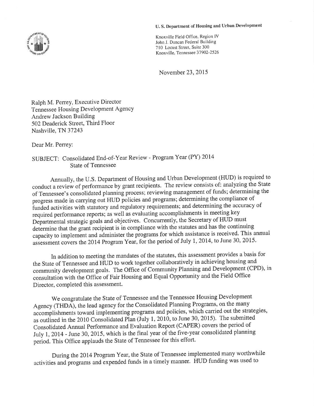### U. S. Department of Housing and Urban Development



November 23,2015

Ralph M. Perrey, Executive Director Temessee Housing Development Agency Andrew Jackson Building 502 Deaderick Street, Third Floor Nashville, TN 37243

Dear Mr. Perrey:

# SUBJECT: Consolidated End-of-Year Review - Program Year (PY) <sup>2014</sup> State of Tennessee

Annually, the U.S. Department of Housing and Urban Development (HUD) is required to conduct a review of performance by grant recipients. The review consists of: analyzing the State of Tennessee's consolidated planning process; reviewing management of funds; determining the progress made in carrying out HUD policies and programs; determining the compliance of funded activities with statutory and regulatory requirements; and determining the accuracy of required performance reports; as well as evaluating accomplishments in meeting key Departmèntal strategic goals and objectives. Concurrently, the Secretary of HUD must determine that the grant recipient is in compliance with the statutes and has the continuing capacity to implement and administer the programs for which assistance is received. This annual assessment covers the 2014 Program Year, for the period of July 1, 2014, to June 30, 2015.

In addition to meeting the mandates of the statutes, this assessment provides a basis for the State of Tennessee and HUD to work together collaboratively in achieving housing and community development goals. The Office of Community Planning and Development (CPD), in consultatión with the Office of Fair Housing and Equal opportunity and the Field Office Director, completed this assessment.

We congratulate the State of Tennessee and the Tennessee Housing Development Agency (THDA), the lead agency for the Consolidated Planning Programs, on the many accomplishments toward implementing programs and policies, which carried out the strategies, as outlined in the 2010 Consolidated Plan (July 1, 2010, to June 30, 2015). The submitted Consolidated Annual Performance and Evaluation Report (CAPER) covers the period of July 1, Z0I4 - June 30, 2015, which is the final year of the five-year consolidated planning period. This Office applauds the State of Tennessee for this effort.

During the 2014 Program Year, the State of Tennessee implemented many worthwhile activities and programs and éxpended funds in a timely manner. HUD funding was used to

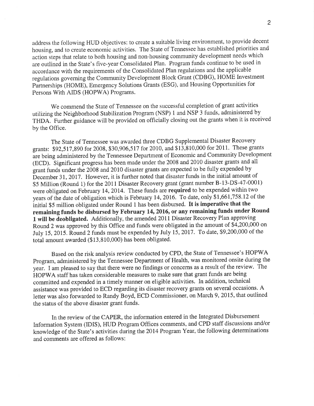address the following HUD objectives: to create a suitable living environment, to provide decent housing, and to create economic activities. The State of Tennessee has established priorities and action steps that relate to both housing and non-housing community development needs which are outlined in the State's five-year Consolidated Plan. Program funds continue to be used in accordance with the requirements of the Consolidated Plan regulations and the applicable regulations governing the Community Development Block Grant (CDBG), HOME Investment Partnerships (HOME), Emergency Solutions Grants (ESG), and Housing Opportunities for Persons With AIDS (HOPWA) Programs.

We commend the State of Tennessee on the successful completion of grant activities utilizing the Neighborhood Stabilization Program (NSP) 1 and NSP 3 funds, administered by THDA. Further guidance will be provided on officially closing out the grants when it is received by the Office.

The State of Tennessee was awarded three CDBG Supplemental Disaster Recovery grants: \$92,517,890 for 2008, \$30,906,517 for2010, and \$13,810,000 for 2011. These grants áre being administered by the Tennessee Department of Economic and Community Development (ECD). Significant progress has been made under the 2008 and 2010 disaster grants and all grant funds under the 2008 and 2010 disaster grants are expected to be fully expended by December 31, 2017. However, it is further noted that disaster funds in the initial amount of \$5 Million (Round 1) for the 2011 Disaster Recovery grant (grant number B-13-DS-47-0001) were obligated on February 14,2014. These funds are required to be expended within two years of the date of obligation which is February 14,2016. To date, only \$1,661,758.12 of the initial \$5 million obligated under Round I has been disbursed. It is imperative that the remaining funds be disbursed by February 14, 2016, or any remaining funds under Round 1 will be deobligated. Additionally, the amended 2011 Disaster Recovery Plan approving Round 2 was approved by this Office and funds were obligated in the amount of \$4,200,000 on July 15, 2015. Round 2 funds must be expended by July 15, 2017. To date, \$9,200,000 of the total amount awarded (\$13,810,000) has been obligated.

Based on the risk analysis review conducted by CPD, the State of Tennessee's HOPWA Program, administered by the Tennessee Department of Health, was monitored onsite during the year. I am pleased to say that there were no findings or concerns as a result of the review. The HOPWA staff has taken considerable measures to make sure that grant funds are being committed and expended in a timely manner on eligible activities. In addition, technical assistance was provided to ECD regarding its disaster recovery grants on several occasions. A letter was also forwarded to Randy Boyd, ECD Commissioner, on March 9, 2015, that outlined the status of the above disaster grant funds.

In the review of the CAPER, the information entered in the Integrated Disbursement Information System (IDIS), HUD Program Offices comments, and CPD staff discussions and/or knowledge of the State's activities during the 2014 Program Year, the following determinations and comments are offered as follows: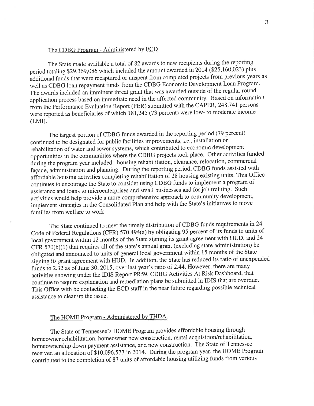## The CDBG Program - Administered by ECD

The State made available a total of 82 awards to new recipients during the reporting period totaling \$29,369,086 which included the amount awarded in 2014 (\$25,160,023) plus àdditional funis that were recaptured or unspent from completed projects from previous years as well as CDBG loan repayment funds from the CDBG Economic Development Loan Program. The awards included an imminent threat grant that was awarded outside of the regular round application process based on immediate need in the affected community. Based on information fiom the performance Evaluation Report (PER) submitted with the CAPER, 248,74I persons were reported as beneficiaries of which 181,245 (73 percent) were low- to moderate income (LMI).

The largest portion of CDBG funds awarded in the reporting period (79 percent) continued to be designated for public facilities improvements, i.e., installation or rehabilitation of water and sewer systems, which contributed to economic development opportunities in the communities where the CDBG projects took place. Other activities funded during the program year included: housing rehabilitation, clearance, relocation, commercial façade, administration and planning. During the reporting period, CDBG funds assisted with affordable housing activities completing rehabilitation of 28 housing existing units. This Office continues to encourage the State to consider using CDBG funds to implement a program of assistance and loans io microenterprises and small businesses and for job training. Such activities would help provide a more comprehensive approach to community development, implement strategies in the Consolidated Plan and help with the State's initiatives to move families from welfare to work.

The State continued to meet the timely distribution of CDBG funds requirements in24 Code of Federal Regulations (CFR) 570.494(a) by obligating 95 percent of its funds to units of local government within 12 months of the State signing its grant agreement with HUD, and 24 CFR  $\overline{570(b)(1)}$  that requires all of the state's annual grant (excluding state administration) be obligated and announced to units of general local government within 15 months of the State signing its grant agreement with HUD. In addition, the State has reduced its ratio of unexpended funds to  $2.\overline{32}$  as of June 30, 2015, over last year's ratio of 2.44. However, there are many activities showing under the IDIS Report PR59, CDBG Activities At Risk Dashboard, that continue to require explanation and remediation plans be submitted in IDIS that are overdue. This Office with be contacting the ECD staff in the near future regarding possible technical assistance to clear up the issue.

#### The HOME Program - Administered by THDA

The State of Tennessee's HOME Program provides affordable housing through homeowner rehabilitation, homeowner new construction, rental acquisition/rehabilitation, homeownership down payment assistance, and new construction. The State of Tennessee received an allocation óf \$t0,096,577 in20l4. During the program year, the HOME Program contributed to the completion of 87 units of affordable housing utilizing funds from various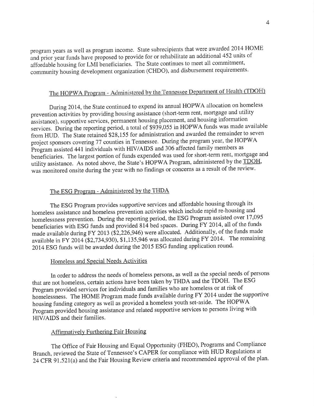program years as well as program income. State subrecipients that were awarded 2014 HOME and prior year funds have proposed to provide for or rehabilitate an additional 452 units of affordable housing for LMI beneficiaries. The State continues to meet all commitment, community housing development organization (CHDO), and disbursement requirements.

# The HOPWA Program - Administered by the Tennessee Department of Health (TDOH)

During 2014, the State continued to expend its annual HOPWA allocation on homeless prevention activities by providing housing assistance (short-term rent, mortgage and utility assistance), supportive services, permanent housing placement, and housing information services. During the reporting period, a total of \$939,055 in HOPWA funds was made available from HUD. The State retained \$28,155 for administration and awarded the remainder to seven project sponsors covering 77 counties in Tennessee. During the program year, the HOPWA Program assisted 441 individuals with HIV/AIDS and 306 affected family members as beneficiaries. The largest portion of funds expended was used for short-term rent, mortgage and utility assistance. As noted above, the State's HOPWA Program, administered by the TDOH, was monitored onsite during the year with no findings or concerns as a result of the review.

# The ESG Program - Administered by the THDA

The ESG Program provides supportive services and affordable housing through its homeless assistance and homeless prevention activities which include rapid re-housing and homelessness prevention. During the reporting period, the ESG Program assisted over 17,095 beneficiaries with ESG funds and provided 814 bed spaces. During FY 2014, all of the funds made available during FY 2013 (\$2,226,946) were allocated. Additionally, of the funds made available in FY 2014 (\$2,734,930), \$1,135,946 was allocated during FY 2014. The remaining 2014 ESG funds will be awarded during the 2015 ESG funding application round.

## Homeless and Special Needs Activities

In order to address the needs of homeless persons, as well as the special needs of persons that are not homeless, certain actions have been taken by THDA and the TDOH. The ESG Program provided services for individuals and families who are homeless or at risk of homelessness. The HOME Program made funds available during FY 2014 under the supportive housing funding category as well as provided a homeless youth set-aside. The HOPWA Program provided housing assistance and related supportive services to persons living with HIV/AIDS and their families.

### **Affirmatively Furthering Fair Housing**

The Office of Fair Housing and Equal Opportunity (FHEO), Programs and Compliance Branch, reviewed the State of Tennessee's CAPER for compliance with HUD Regulations at 24 CFR 91.521(a) and the Fair Housing Review criteria and recommended approval of the plan.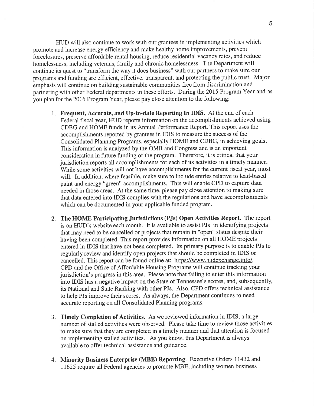HUD will also continue to work with our grantees in implementing activities which promote and increase energy efficiency and make healthy home improvements, prevent foreclosures, preserve affordable rental housing, reduce residential vacancy rates, and reduce homelessness, including veterans, family and chronic homelessness. The Department will continue its quest to "transform the way it does business" with our partners to make sure our programs and funding are efficient, effective, transparent, and protecting the public trust. Major emphasis will continue on building sustainable communities free from discrimination and partnering with other Federal departments in these efforts. During the 2015 Program Year and as you plan for the 2016 Program Year, please pay close attention to the following:

- 1. Frequent, Accurate, and Up-to-date Reporting In IDIS. At the end of each Federal fiscal year, HUD reports information on the accomplishments achieved using CDBG and HOME funds in its Annual Performance Report. This report uses the accomplishments reported by grantees in IDIS to measure the success of the Consolidated Planning Programs, especially HOME and CDBG, in achieving goals. This information is analyzed by the OMB and Congress and is an important consideration in future funding of the program. Therefore, it is critical that your jurisdiction reports all accomplishments for each of its activities in a timely manner. While some activities will not have accomplishments for the current fiscal year, most will. In addition, where feasible, make sure to include entries relative to lead-based paint and energy "green" accomplishments. This will enable CPD to capture data needed in those areas. At the same time, please pay close attention to making sure that data entered into IDIS complies with the regulations and have accomplishments which can be documented in your applicable funded program.
- 2. The HOME Participating Jurisdictions (PJs) Open Activities Report. The report is on HUD's website each month. It is available to assist PJs in identifying projects that may need to be cancelled or projects that remain in "open" status despite their having been completed. This report provides information on all HOME projects entered in IDIS that have not been completed. Its primary purpose is to enable PJs to regularly review and identify open projects that should be completed in IDIS or cancelled. This report can be found online at: https://www.hudexchange.info/. CPD and the Office of Affordable Housing Programs will continue tracking your jurisdiction's progress in this area. Please note that failing to enter this information into IDIS has a negative impact on the State of Tennessee's scores, and, subsequently, its National and State Ranking with other PJs. Also, CPD offers technical assistance to help PJs improve their scores. As always, the Department continues to need accurate reporting on all Consolidated Planning programs.
- 3. Timely Completion of Activities. As we reviewed information in IDIS, alarge number of stalled activities were observed. Please take time to review those activities to make sure that they are completed in a timely manner and that attention is focused on implementing stalled activities. As you know, this Department is always available to offer technical assistance and guidance.
- 4. Minority Business Enterprise (MBE) Reporting. Executive Orders 11432 and 11625 require all Federal agencies to promote MBE, including women business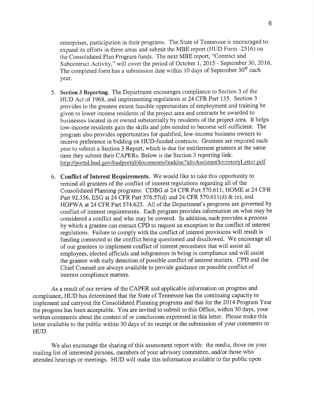enterprises, participation in their programs. The State of Tennessee is encouraged to expand its efforts in these areas and submit the MBE report (HUD Form -2516) on the Consolidated Plan Program funds. The next MBE report, "Contract and Subcontract Activity," will cover the period of October 1, 2015 - September 30, 2016. The completed form has a submission date within 10 days of September  $30<sup>th</sup>$  each year.

- 5. Section 3 Reporting. The Department encourages compliance to Section 3 of the HUD Act of 1968, and implementing regulations at 24 CFR Part 135. Section <sup>3</sup> provides to the greatest extent feasible opportunities of employment and training be given to lower income residents of the project area and contracts be awarded to businesses located in or owned substantially by residents of the project area. It helps low-income residents gain the skills and jobs needed to become self-sufficient. The program also provides opportunities for qualified, low-income business owners to receive preference in bidding on HUD-funded contracts. Grantees are required each year to submit a Section 3 Report, which is due for entitlement grantees at the same time they submit their CAPERs. Below is the Section 3 reporting link:<br>http://portal.hud.gov/hudportal/documents/huddoc?id=AssistantSecretaryLetter.pdf
- 6. Conflict of Interest Requirements. We would like to take this opportunity to remind all grantees of the conflict of interest regulations regarding all of the Consolidated Planning programs: CDBG at 24 CFR Part 570.611; HOME at 24 CFR Part 92.356, ESG at 24 CFR Part 576.57(d) and 24 CFR 570.611(d) & (e), and HOPWA at 24 CFR Part 574.625. All of the Department's programs are governed by conflict of interest requirements. Each program provides information on what may be considered a conflict and who may be covered. In addition, each provides a process by which a grantee can contact CPD to request an exception to the conflict of interest regulations. Failure to comply with the conflict of interest provisions will result is funding connected to the conflict being questioned and disallowed. We encourage all of our grantees to implement conflict of interest procedures that will assist all employees, elected officials and subgrantees in being in compliance and will assist the grantee with early detection of possible conflict of interest matters. CPD and the Chief Counsel are always available to provide guidance on possible conflict of interest compliance matters.

As a result of our review of the CAPER and applicable information on progress and compliance, HUD has determined that the State of Tennessee has the continuing capacity to implement and carryout the Consolidated Planning programs and that for the 2014 Program Year the progress has been acceptable. You are invited to submit to this Office, within 30 days, your written comments about the content of or conclusions expressed in this letter. Please make this letter available to the public within 30 days of its receipt or the submission of your comments to HUD.

We also encourage the sharing of this assessment report with: the media, those on your mailing list of interested persons, members of your advisory committee, and/or those who attended hearings or meetings. HUD will make this information available to the public upon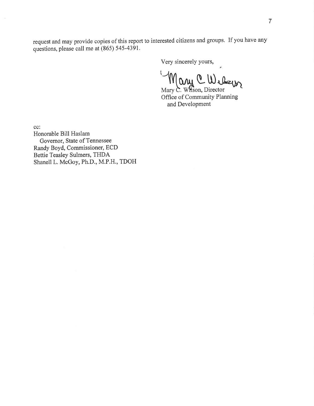request and may provide copies of this report to interested citizens and groups. If you have any questions, please call me at (865) 545-4391.

Very sincerely yours,

Many C. W. Community Planning

and Development

cc:

Honorable Bill Haslam Govemor, State of Tennessee Randy Boyd, Commissioner, ECD Bettie Teasley Sulmers, THDA Shanell L, McGoy, Ph.D., M.P.H., TDOH